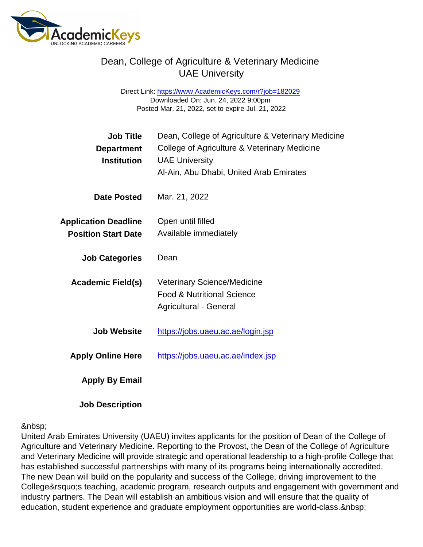Direct Link: <https://www.AcademicKeys.com/r?job=182029> Downloaded On: Jun. 24, 2022 9:00pm Posted Mar. 21, 2022, set to expire Jul. 21, 2022

| <b>Job Title</b><br>Department<br>Institution             | Dean, College of Agriculture & Veterinary Medicine<br>College of Agriculture & Veterinary Medicine<br><b>UAE University</b><br>Al-Ain, Abu Dhabi, United Arab Emirates |
|-----------------------------------------------------------|------------------------------------------------------------------------------------------------------------------------------------------------------------------------|
| Date Posted                                               | Mar. 21, 2022                                                                                                                                                          |
| <b>Application Deadline</b><br><b>Position Start Date</b> | Open until filled<br>Available immediately                                                                                                                             |
| <b>Job Categories</b>                                     | Dean                                                                                                                                                                   |
| Academic Field(s)                                         | <b>Veterinary Science/Medicine</b><br><b>Food &amp; Nutritional Science</b><br>Agricultural - General                                                                  |
| Job Website                                               | https://jobs.uaeu.ac.ae/login.jsp                                                                                                                                      |
| <b>Apply Online Here</b>                                  | https://jobs.uaeu.ac.ae/index.jsp                                                                                                                                      |
| Apply By Email                                            |                                                                                                                                                                        |

Job Description

#### 

United Arab Emirates University (UAEU) invites applicants for the position of Dean of the College of Agriculture and Veterinary Medicine. Reporting to the Provost, the Dean of the College of Agriculture and Veterinary Medicine will provide strategic and operational leadership to a high-profile College that has established successful partnerships with many of its programs being internationally accredited. The new Dean will build on the popularity and success of the College, driving improvement to the College's teaching, academic program, research outputs and engagement with government and industry partners. The Dean will establish an ambitious vision and will ensure that the quality of education, student experience and graduate employment opportunities are world-class.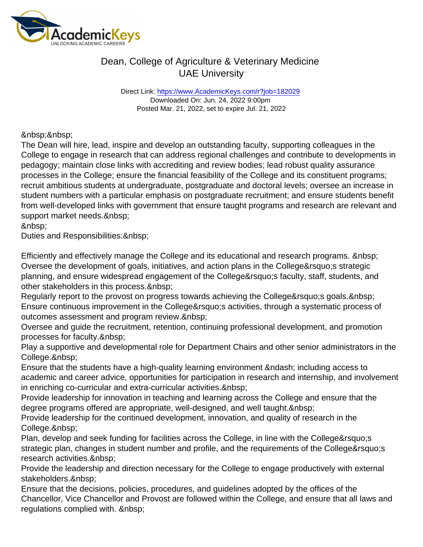Direct Link: <https://www.AcademicKeys.com/r?job=182029> Downloaded On: Jun. 24, 2022 9:00pm Posted Mar. 21, 2022, set to expire Jul. 21, 2022

The Dean will hire, lead, inspire and develop an outstanding faculty, supporting colleagues in the College to engage in research that can address regional challenges and contribute to developments in pedagogy; maintain close links with accrediting and review bodies; lead robust quality assurance processes in the College; ensure the financial feasibility of the College and its constituent programs; recruit ambitious students at undergraduate, postgraduate and doctoral levels; oversee an increase in student numbers with a particular emphasis on postgraduate recruitment; and ensure students benefit from well-developed links with government that ensure taught programs and research are relevant and support market needs.

&nbsp:

Duties and Responsibilities: & nbsp;

Efficiently and effectively manage the College and its educational and research programs. Oversee the development of goals, initiatives, and action plans in the College' sstrategic planning, and ensure widespread engagement of the College' sfaculty, staff, students, and other stakeholders in this process.&nbsp:

Regularly report to the provost on progress towards achieving the College' s goals. & nbsp; Ensure continuous improvement in the College' activities, through a systematic process of outcomes assessment and program review.

Oversee and guide the recruitment, retention, continuing professional development, and promotion processes for faculty.

Play a supportive and developmental role for Department Chairs and other senior administrators in the College.&nbsp:

Ensure that the students have a high-quality learning environment & ndash; including access to academic and career advice, opportunities for participation in research and internship, and involvement in enriching co-curricular and extra-curricular activities.

Provide leadership for innovation in teaching and learning across the College and ensure that the degree programs offered are appropriate, well-designed, and well taught.

Provide leadership for the continued development, innovation, and quality of research in the College.

Plan, develop and seek funding for facilities across the College, in line with the College's strategic plan, changes in student number and profile, and the requirements of the College's research activities.&nbsp:

Provide the leadership and direction necessary for the College to engage productively with external stakeholders.

Ensure that the decisions, policies, procedures, and guidelines adopted by the offices of the Chancellor, Vice Chancellor and Provost are followed within the College, and ensure that all laws and regulations complied with.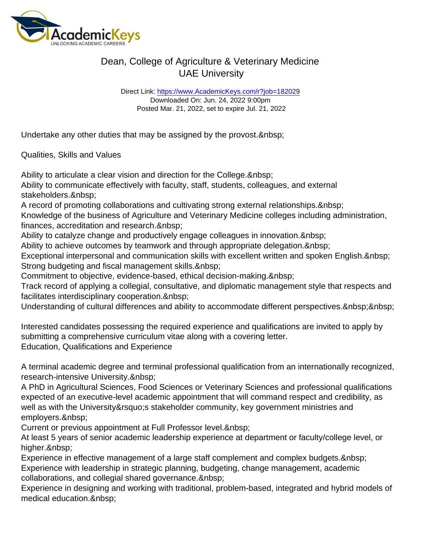Direct Link: <https://www.AcademicKeys.com/r?job=182029> Downloaded On: Jun. 24, 2022 9:00pm Posted Mar. 21, 2022, set to expire Jul. 21, 2022

Undertake any other duties that may be assigned by the provost.

Qualities, Skills and Values

Ability to articulate a clear vision and direction for the College. & nbsp;

Ability to communicate effectively with faculty, staff, students, colleagues, and external stakeholders.

A record of promoting collaborations and cultivating strong external relationships.

Knowledge of the business of Agriculture and Veterinary Medicine colleges including administration, finances, accreditation and research.

Ability to catalyze change and productively engage colleagues in innovation.

Ability to achieve outcomes by teamwork and through appropriate delegation.

Exceptional interpersonal and communication skills with excellent written and spoken English. Strong budgeting and fiscal management skills.

Commitment to objective, evidence-based, ethical decision-making.

Track record of applying a collegial, consultative, and diplomatic management style that respects and facilitates interdisciplinary cooperation.

Understanding of cultural differences and ability to accommodate different perspectives.

Interested candidates possessing the required experience and qualifications are invited to apply by submitting a comprehensive curriculum vitae along with a covering letter. Education, Qualifications and Experience

A terminal academic degree and terminal professional qualification from an internationally recognized, research-intensive University.

A PhD in Agricultural Sciences, Food Sciences or Veterinary Sciences and professional qualifications expected of an executive-level academic appointment that will command respect and credibility, as well as with the University's stakeholder community, key government ministries and employers.&nbsp:

Current or previous appointment at Full Professor level.

At least 5 years of senior academic leadership experience at department or faculty/college level, or higher.

Experience in effective management of a large staff complement and complex budgets. Experience with leadership in strategic planning, budgeting, change management, academic collaborations, and collegial shared governance.

Experience in designing and working with traditional, problem-based, integrated and hybrid models of medical education.